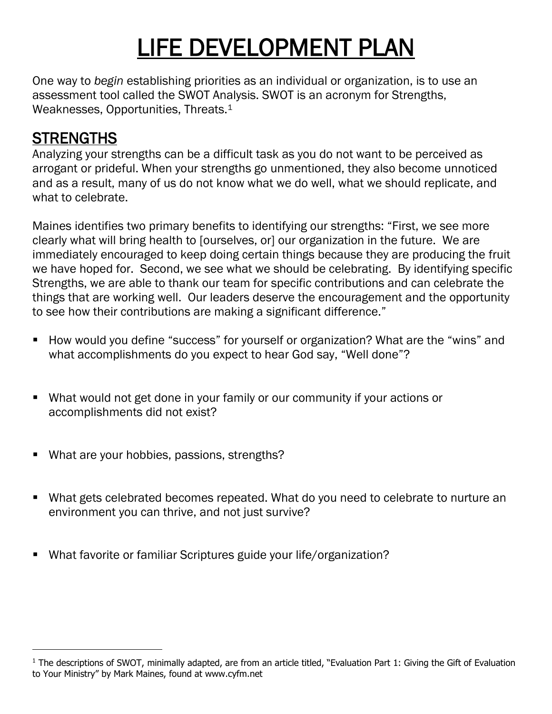# LIFE DEVELOPMENT PLAN

One way to *begin* establishing priorities as an individual or organization, is to use an assessment tool called the SWOT Analysis. SWOT is an acronym for Strengths, Weaknesses, Opportunities, Threats.<sup>1</sup>

# **STRENGTHS**

Analyzing your strengths can be a difficult task as you do not want to be perceived as arrogant or prideful. When your strengths go unmentioned, they also become unnoticed and as a result, many of us do not know what we do well, what we should replicate, and what to celebrate.

Maines identifies two primary benefits to identifying our strengths: "First, we see more clearly what will bring health to [ourselves, or] our organization in the future. We are immediately encouraged to keep doing certain things because they are producing the fruit we have hoped for. Second, we see what we should be celebrating. By identifying specific Strengths, we are able to thank our team for specific contributions and can celebrate the things that are working well. Our leaders deserve the encouragement and the opportunity to see how their contributions are making a significant difference."

- How would you define "success" for yourself or organization? What are the "wins" and what accomplishments do you expect to hear God say, "Well done"?
- What would not get done in your family or our community if your actions or accomplishments did not exist?
- What are your hobbies, passions, strengths?
- What gets celebrated becomes repeated. What do you need to celebrate to nurture an environment you can thrive, and not just survive?
- What favorite or familiar Scriptures guide your life/organization?

<sup>&</sup>lt;sup>1</sup> The descriptions of SWOT, minimally adapted, are from an article titled, "Evaluation Part 1: Giving the Gift of Evaluation to Your Ministry" by Mark Maines, found at www.cyfm.net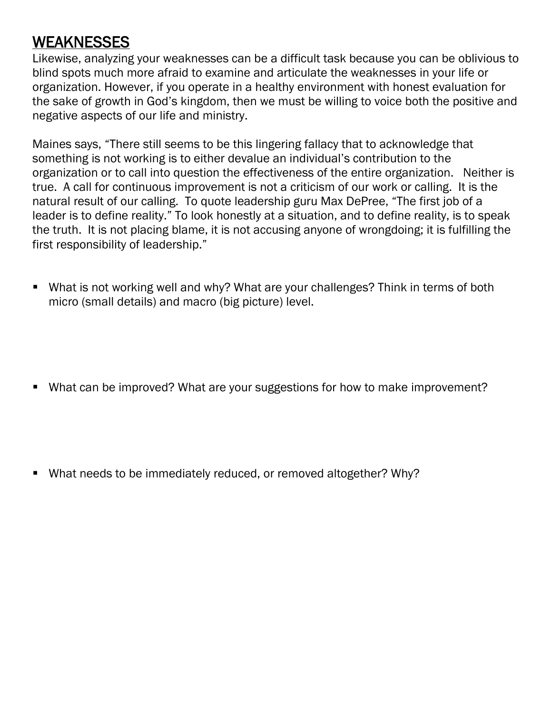### **WEAKNESSES**

Likewise, analyzing your weaknesses can be a difficult task because you can be oblivious to blind spots much more afraid to examine and articulate the weaknesses in your life or organization. However, if you operate in a healthy environment with honest evaluation for the sake of growth in God's kingdom, then we must be willing to voice both the positive and negative aspects of our life and ministry.

Maines says, "There still seems to be this lingering fallacy that to acknowledge that something is not working is to either devalue an individual's contribution to the organization or to call into question the effectiveness of the entire organization. Neither is true. A call for continuous improvement is not a criticism of our work or calling. It is the natural result of our calling. To quote leadership guru Max DePree, "The first job of a leader is to define reality." To look honestly at a situation, and to define reality, is to speak the truth. It is not placing blame, it is not accusing anyone of wrongdoing; it is fulfilling the first responsibility of leadership."

- What is not working well and why? What are your challenges? Think in terms of both micro (small details) and macro (big picture) level.
- What can be improved? What are your suggestions for how to make improvement?
- What needs to be immediately reduced, or removed altogether? Why?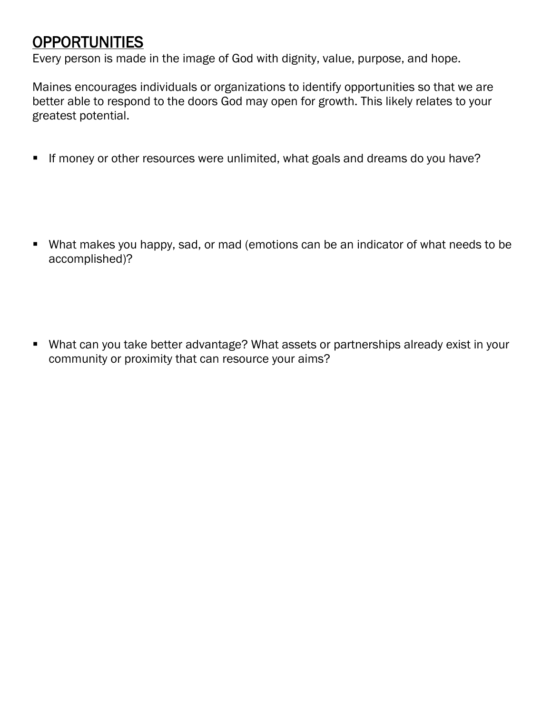#### OPPORTUNITIES

Every person is made in the image of God with dignity, value, purpose, and hope.

Maines encourages individuals or organizations to identify opportunities so that we are better able to respond to the doors God may open for growth. This likely relates to your greatest potential.

- **E** If money or other resources were unlimited, what goals and dreams do you have?
- What makes you happy, sad, or mad (emotions can be an indicator of what needs to be accomplished)?
- What can you take better advantage? What assets or partnerships already exist in your community or proximity that can resource your aims?